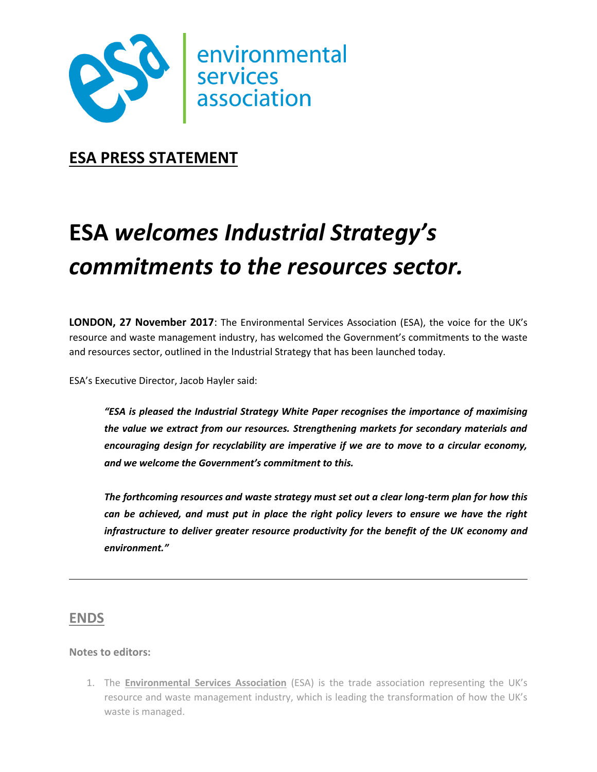

**ESA PRESS STATEMENT**

## **ESA** *welcomes Industrial Strategy's commitments to the resources sector.*

**LONDON, 27 November 2017**: The Environmental Services Association (ESA), the voice for the UK's resource and waste management industry, has welcomed the Government's commitments to the waste and resources sector, outlined in the Industrial Strategy that has been launched today.

ESA's Executive Director, Jacob Hayler said:

*"ESA is pleased the Industrial Strategy White Paper recognises the importance of maximising the value we extract from our resources. Strengthening markets for secondary materials and encouraging design for recyclability are imperative if we are to move to a circular economy, and we welcome the Government's commitment to this.* 

*The forthcoming resources and waste strategy must set out a clear long-term plan for how this can be achieved, and must put in place the right policy levers to ensure we have the right infrastructure to deliver greater resource productivity for the benefit of the UK economy and environment."*

## **ENDS**

## **Notes to editors:**

1. The **Environmental Services Association** (ESA) is the trade association representing the UK's resource and waste management industry, which is leading the transformation of how the UK's waste is managed.